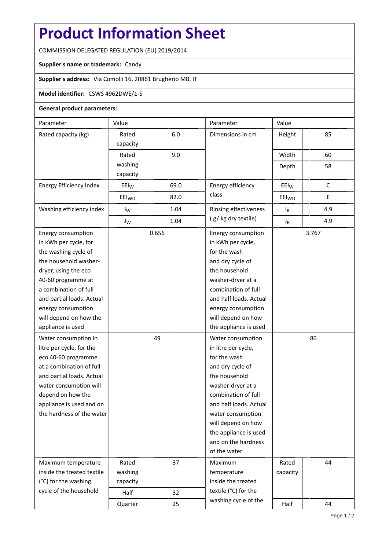## **Product Information Sheet**

COMMISSION DELEGATED REGULATION (EU) 2019/2014

## **Supplier's name or trademark:** Candy

**Supplier's address:** Via Comolli 16, 20861 Brugherio MB, IT

## **Model identifier:** CSWS 4962DWE/1-S

## **General product parameters:**

| Parameter                  | Value             |       | Parameter                                    | Value             |             |  |
|----------------------------|-------------------|-------|----------------------------------------------|-------------------|-------------|--|
| Rated capacity (kg)        | Rated             | 6.0   | Dimensions in cm                             | Height            | 85          |  |
|                            | capacity          |       |                                              |                   |             |  |
|                            | Rated             | 9.0   |                                              | Width             | 60          |  |
|                            | washing           |       |                                              | Depth             | 58          |  |
|                            | capacity          |       |                                              |                   |             |  |
| Energy Efficiency Index    | EEI <sub>W</sub>  | 69.0  | Energy efficiency                            | $E E I_W$         | $\mathsf C$ |  |
|                            | EEI <sub>WD</sub> | 82.0  | class                                        | EEI <sub>WD</sub> | Е           |  |
| Washing efficiency index   | $I_{W}$           | 1.04  | Rinsing effectiveness<br>(g/kg dry textile)  | $I_R$             | 4.9         |  |
|                            | $J_W$             | 1.04  |                                              | $J_R$             | 4.9         |  |
| Energy consumption         |                   | 0.656 | Energy consumption<br>in kWh per cycle,      | 3.767             |             |  |
| in kWh per cycle, for      |                   |       |                                              |                   |             |  |
| the washing cycle of       |                   |       | for the wash                                 |                   |             |  |
| the household washer-      |                   |       | and dry cycle of                             |                   |             |  |
| dryer, using the eco       |                   |       | the household                                |                   |             |  |
| 40-60 programme at         |                   |       | washer-dryer at a                            |                   |             |  |
| a combination of full      |                   |       | combination of full                          |                   |             |  |
| and partial loads. Actual  |                   |       | and half loads. Actual                       |                   |             |  |
| energy consumption         |                   |       | energy consumption                           |                   |             |  |
| will depend on how the     |                   |       | will depend on how                           |                   |             |  |
| appliance is used          |                   |       | the appliance is used                        |                   |             |  |
| Water consumption in       |                   | 49    | Water consumption                            | 86                |             |  |
| litre per cycle, for the   |                   |       | in litre per cycle,                          |                   |             |  |
| eco 40-60 programme        |                   |       | for the wash                                 |                   |             |  |
| at a combination of full   |                   |       | and dry cycle of                             |                   |             |  |
| and partial loads. Actual  |                   |       | the household                                |                   |             |  |
| water consumption will     |                   |       | washer-dryer at a                            |                   |             |  |
| depend on how the          |                   |       | combination of full                          |                   |             |  |
| appliance is used and on   |                   |       | and half loads. Actual                       |                   |             |  |
| the hardness of the water  |                   |       | water consumption                            |                   |             |  |
|                            |                   |       | will depend on how                           |                   |             |  |
|                            |                   |       | the appliance is used                        |                   |             |  |
|                            |                   |       | and on the hardness                          |                   |             |  |
|                            |                   |       | of the water                                 |                   |             |  |
| Maximum temperature        | Rated             | 37    | Maximum                                      | Rated             | 44          |  |
| inside the treated textile | washing           |       | temperature                                  | capacity          |             |  |
| (°C) for the washing       | capacity          |       | inside the treated                           |                   |             |  |
| cycle of the household     | Half              | 32    | textile (°C) for the<br>washing cycle of the |                   |             |  |
|                            | Quarter           | 25    |                                              | Half              | 44          |  |